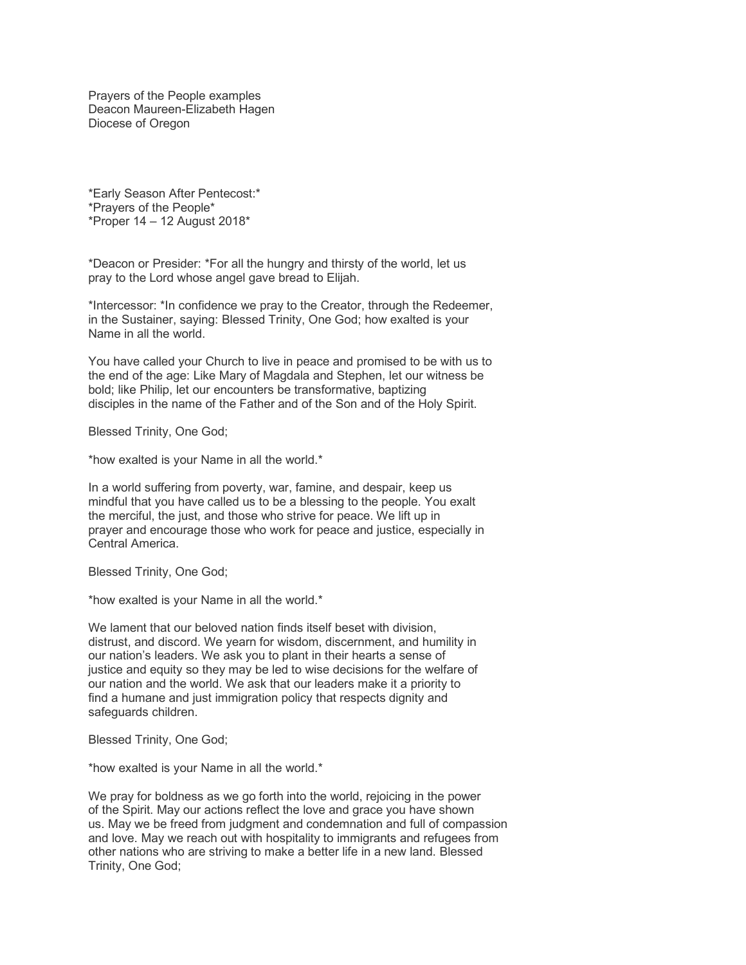Prayers of the People examples Deacon Maureen-Elizabeth Hagen Diocese of Oregon

\*Early Season After Pentecost:\* \*Prayers of the People\* \*Proper  $14 - 12$  August 2018\*

\*Deacon or Presider: \*For all the hungry and thirsty of the world, let us pray to the Lord whose angel gave bread to Elijah.

\*Intercessor: \*In confidence we pray to the Creator, through the Redeemer, in the Sustainer, saying: Blessed Trinity, One God; how exalted is your Name in all the world.

You have called your Church to live in peace and promised to be with us to the end of the age: Like Mary of Magdala and Stephen, let our witness be bold; like Philip, let our encounters be transformative, baptizing disciples in the name of the Father and of the Son and of the Holy Spirit.

Blessed Trinity, One God;

\*how exalted is your Name in all the world.\*

In a world suffering from poverty, war, famine, and despair, keep us mindful that you have called us to be a blessing to the people. You exalt the merciful, the just, and those who strive for peace. We lift up in prayer and encourage those who work for peace and justice, especially in Central America.

Blessed Trinity, One God;

\*how exalted is your Name in all the world.\*

We lament that our beloved nation finds itself beset with division. distrust, and discord. We yearn for wisdom, discernment, and humility in our nation's leaders. We ask you to plant in their hearts a sense of justice and equity so they may be led to wise decisions for the welfare of our nation and the world. We ask that our leaders make it a priority to find a humane and just immigration policy that respects dignity and safeguards children.

Blessed Trinity, One God;

\*how exalted is your Name in all the world.\*

We pray for boldness as we go forth into the world, rejoicing in the power of the Spirit. May our actions reflect the love and grace you have shown us. May we be freed from judgment and condemnation and full of compassion and love. May we reach out with hospitality to immigrants and refugees from other nations who are striving to make a better life in a new land. Blessed Trinity, One God;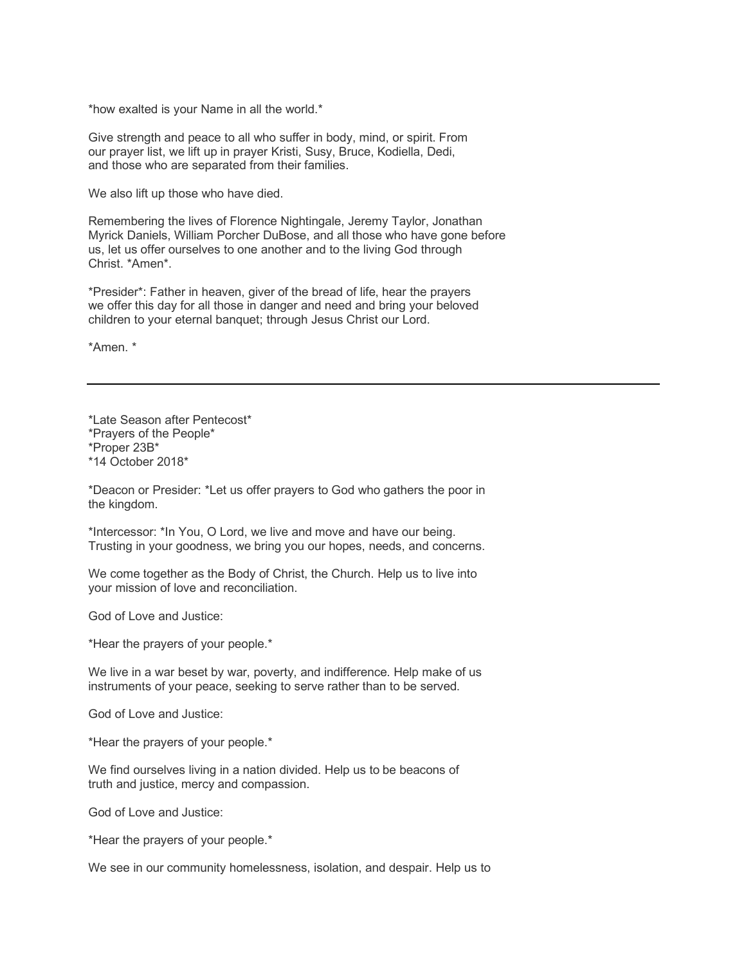\*how exalted is your Name in all the world.\*

Give strength and peace to all who suffer in body, mind, or spirit. From our prayer list, we lift up in prayer Kristi, Susy, Bruce, Kodiella, Dedi, and those who are separated from their families.

We also lift up those who have died.

Remembering the lives of Florence Nightingale, Jeremy Taylor, Jonathan Myrick Daniels, William Porcher DuBose, and all those who have gone before us, let us offer ourselves to one another and to the living God through Christ. \*Amen\*.

\*Presider\*: Father in heaven, giver of the bread of life, hear the prayers we offer this day for all those in danger and need and bring your beloved children to your eternal banquet; through Jesus Christ our Lord.

\*Amen. \*

\*Late Season after Pentecost\* \*Prayers of the People\* \*Proper 23B\* \*14 October 2018\*

\*Deacon or Presider: \*Let us offer prayers to God who gathers the poor in the kingdom.

\*Intercessor: \*In You, O Lord, we live and move and have our being. Trusting in your goodness, we bring you our hopes, needs, and concerns.

We come together as the Body of Christ, the Church. Help us to live into your mission of love and reconciliation.

God of Love and Justice:

\*Hear the prayers of your people.\*

We live in a war beset by war, poverty, and indifference. Help make of us instruments of your peace, seeking to serve rather than to be served.

God of Love and Justice:

\*Hear the prayers of your people.\*

We find ourselves living in a nation divided. Help us to be beacons of truth and justice, mercy and compassion.

God of Love and Justice:

\*Hear the prayers of your people.\*

We see in our community homelessness, isolation, and despair. Help us to